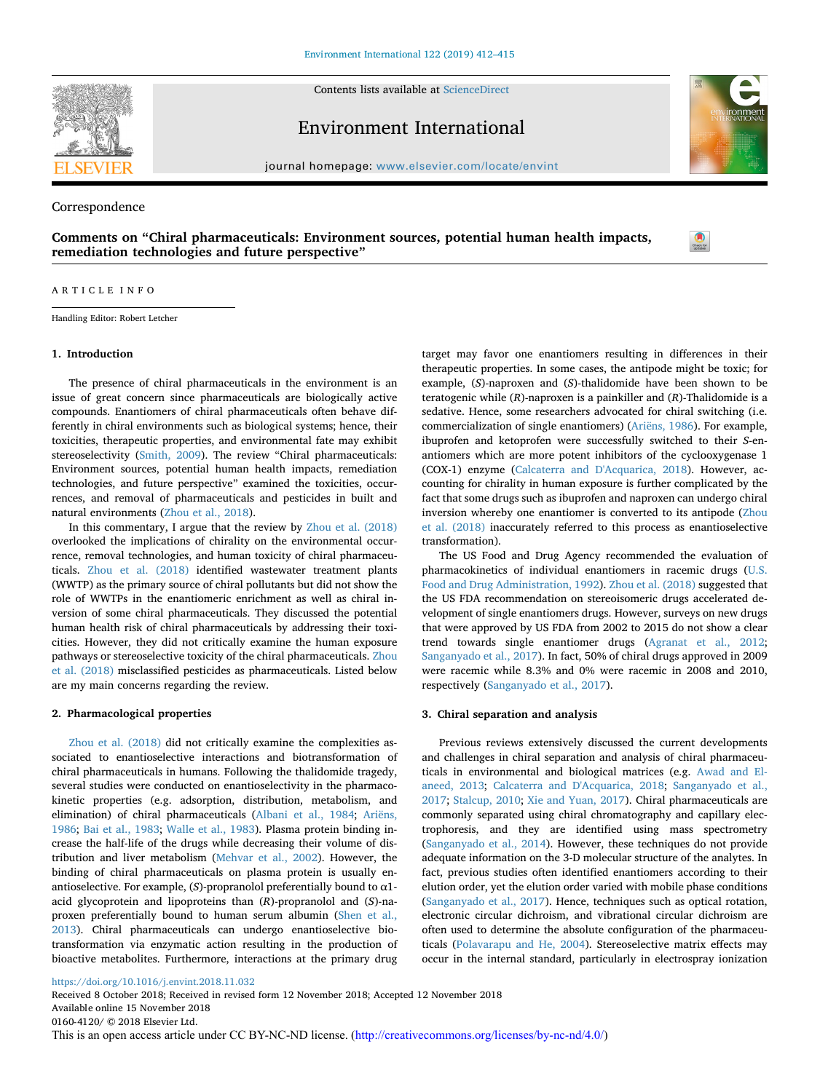

Contents lists available at [ScienceDirect](http://www.sciencedirect.com/science/journal/01604120)

Environment International

journal homepage: [www.elsevier.com/locate/envint](https://www.elsevier.com/locate/envint)

Correspondence

**Comments on "Chiral pharmaceuticals: Environment sources, potential human health impacts, remediation technologies and future perspective"**



#### ARTICLE INFO

Handling Editor: Robert Letcher

# **1. Introduction**

The presence of chiral pharmaceuticals in the environment is an issue of great concern since pharmaceuticals are biologically active compounds. Enantiomers of chiral pharmaceuticals often behave differently in chiral environments such as biological systems; hence, their toxicities, therapeutic properties, and environmental fate may exhibit stereoselectivity [\(Smith, 2009](#page-2-0)). The review "Chiral pharmaceuticals: Environment sources, potential human health impacts, remediation technologies, and future perspective" examined the toxicities, occurrences, and removal of pharmaceuticals and pesticides in built and natural environments [\(Zhou et al., 2018\)](#page-3-0).

In this commentary, I argue that the review by [Zhou et al. \(2018\)](#page-3-0) overlooked the implications of chirality on the environmental occurrence, removal technologies, and human toxicity of chiral pharmaceuticals. [Zhou et al. \(2018\)](#page-3-0) identified wastewater treatment plants (WWTP) as the primary source of chiral pollutants but did not show the role of WWTPs in the enantiomeric enrichment as well as chiral inversion of some chiral pharmaceuticals. They discussed the potential human health risk of chiral pharmaceuticals by addressing their toxicities. However, they did not critically examine the human exposure pathways or stereoselective toxicity of the chiral pharmaceuticals. [Zhou](#page-3-0) [et al. \(2018\)](#page-3-0) misclassified pesticides as pharmaceuticals. Listed below are my main concerns regarding the review.

### **2. Pharmacological properties**

[Zhou et al. \(2018\)](#page-3-0) did not critically examine the complexities associated to enantioselective interactions and biotransformation of chiral pharmaceuticals in humans. Following the thalidomide tragedy, several studies were conducted on enantioselectivity in the pharmacokinetic properties (e.g. adsorption, distribution, metabolism, and elimination) of chiral pharmaceuticals ([Albani et al., 1984](#page-2-1); [Ariëns,](#page-2-2) [1986;](#page-2-2) [Bai et al., 1983;](#page-2-3) [Walle et al., 1983](#page-3-1)). Plasma protein binding increase the half-life of the drugs while decreasing their volume of distribution and liver metabolism [\(Mehvar et al., 2002\)](#page-2-4). However, the binding of chiral pharmaceuticals on plasma protein is usually enantioselective. For example, (*S*)-propranolol preferentially bound to α1 acid glycoprotein and lipoproteins than (*R*)-propranolol and (*S*)-naproxen preferentially bound to human serum albumin ([Shen et al.,](#page-2-5) [2013\)](#page-2-5). Chiral pharmaceuticals can undergo enantioselective biotransformation via enzymatic action resulting in the production of bioactive metabolites. Furthermore, interactions at the primary drug target may favor one enantiomers resulting in differences in their therapeutic properties. In some cases, the antipode might be toxic; for example, (*S*)-naproxen and (*S*)-thalidomide have been shown to be teratogenic while (*R*)-naproxen is a painkiller and (*R*)-Thalidomide is a sedative. Hence, some researchers advocated for chiral switching (i.e. commercialization of single enantiomers) ([Ariëns, 1986\)](#page-2-2). For example, ibuprofen and ketoprofen were successfully switched to their *S*-enantiomers which are more potent inhibitors of the cyclooxygenase 1 (COX-1) enzyme [\(Calcaterra and D'Acquarica, 2018](#page-2-6)). However, accounting for chirality in human exposure is further complicated by the fact that some drugs such as ibuprofen and naproxen can undergo chiral inversion whereby one enantiomer is converted to its antipode ([Zhou](#page-3-0) [et al. \(2018\)](#page-3-0) inaccurately referred to this process as enantioselective transformation).

The US Food and Drug Agency recommended the evaluation of pharmacokinetics of individual enantiomers in racemic drugs [\(U.S.](#page-3-2) [Food and Drug Administration, 1992](#page-3-2)). [Zhou et al. \(2018\)](#page-3-0) suggested that the US FDA recommendation on stereoisomeric drugs accelerated development of single enantiomers drugs. However, surveys on new drugs that were approved by US FDA from 2002 to 2015 do not show a clear trend towards single enantiomer drugs [\(Agranat et al., 2012](#page-2-7); [Sanganyado et al., 2017\)](#page-2-8). In fact, 50% of chiral drugs approved in 2009 were racemic while 8.3% and 0% were racemic in 2008 and 2010, respectively [\(Sanganyado et al., 2017](#page-2-8)).

### **3. Chiral separation and analysis**

Previous reviews extensively discussed the current developments and challenges in chiral separation and analysis of chiral pharmaceuticals in environmental and biological matrices (e.g. [Awad and El](#page-2-9)[aneed, 2013;](#page-2-9) [Calcaterra and D'Acquarica, 2018;](#page-2-6) [Sanganyado et al.,](#page-2-8) [2017;](#page-2-8) [Stalcup, 2010](#page-2-10); [Xie and Yuan, 2017](#page-3-3)). Chiral pharmaceuticals are commonly separated using chiral chromatography and capillary electrophoresis, and they are identified using mass spectrometry ([Sanganyado et al., 2014\)](#page-2-11). However, these techniques do not provide adequate information on the 3-D molecular structure of the analytes. In fact, previous studies often identified enantiomers according to their elution order, yet the elution order varied with mobile phase conditions ([Sanganyado et al., 2017\)](#page-2-8). Hence, techniques such as optical rotation, electronic circular dichroism, and vibrational circular dichroism are often used to determine the absolute configuration of the pharmaceuticals ([Polavarapu and He, 2004](#page-2-12)). Stereoselective matrix effects may occur in the internal standard, particularly in electrospray ionization

# <https://doi.org/10.1016/j.envint.2018.11.032>

Received 8 October 2018; Received in revised form 12 November 2018; Accepted 12 November 2018 Available online 15 November 2018 0160-4120/ © 2018 Elsevier Ltd. This is an open access article under CC BY-NC-ND license. [\(http://creativecommons.org/licenses/by-nc-nd/4.0/\)](http://creativecommons.org/licenses/by-nc-nd/4.0/)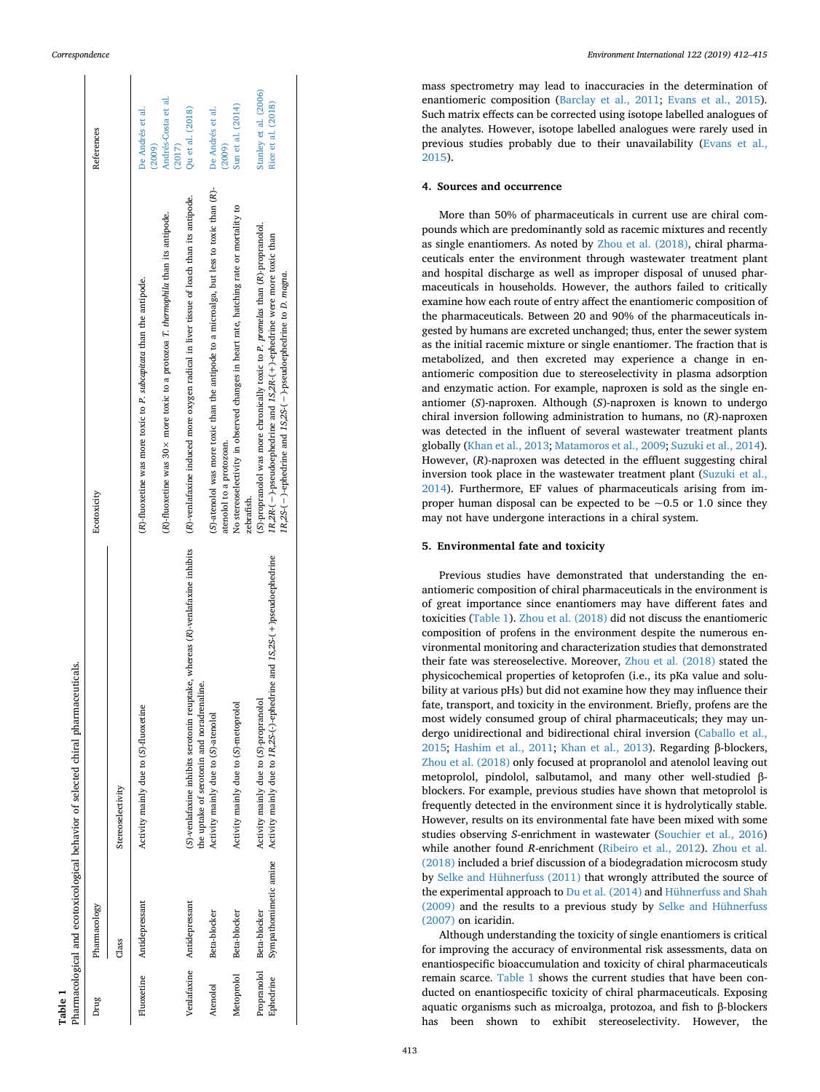$\mathbf{r}$ 

 $\mathbf{r}$ 

<span id="page-1-0"></span>

|         | Pharmacological and ecotoxicological behavior of selected chiral pharmaceuticals. | References<br>Ecotoxicity | Stereoselectivity | De Andrés et al.<br>(2009)<br>(R)-fluoxetine was more toxic to P. subcapitata than the antipode.<br>Activity mainly due to (S)-fluoxetine | Andrés-Costa et al.<br>(2017)<br>$(R)$ -fluoxetine was 30 $\times$ more toxic to a protozoa T. thermophila than its antipode. | Qu et al. (2018)<br>(R)-venlafaxine induced more oxygen radical in liver tissue of loach than its antipode.<br>(S)-venlafaxine inhibits serotonin reuptake, whereas (R)-venlafaxine inhibits<br>the uptake of serotonin and noradrenaline. | De Andrés et al.<br>(2009)<br>(S)-atenolol was more toxic than the antipode to a microalga, but less to toxic than (R)-<br>atenolol to a protozoan.<br>Activity mainly due to (S)-atenolol | Sun et al. (2014)<br>No stereoselectivity in observed changes in heart rate, hatching rate or mortality to<br>zebrafish.<br>Activity mainly due to (S)-metoprolol | Stanley et al. (2006)<br>Rice et al. (2018)<br>(S)-propranolol was more chronically toxic to P. promelas than (R)-propranolol.<br>1R,2R-(-)-pseudoephedrine and 1S,2R-(+)-ephedrine were more toxic than<br>1R,2S-(-)-ephedrine and 1S,2S-(-)-pseudoephedrine to D. magna.<br>Activity mainly due to 1R, 2S-(-)-ephedrine and 1S, 2S-(+)pseudoephedrine<br>Activity mainly due to (S)-propranolol<br>Sympathomimetic amine |
|---------|-----------------------------------------------------------------------------------|---------------------------|-------------------|-------------------------------------------------------------------------------------------------------------------------------------------|-------------------------------------------------------------------------------------------------------------------------------|--------------------------------------------------------------------------------------------------------------------------------------------------------------------------------------------------------------------------------------------|--------------------------------------------------------------------------------------------------------------------------------------------------------------------------------------------|-------------------------------------------------------------------------------------------------------------------------------------------------------------------|----------------------------------------------------------------------------------------------------------------------------------------------------------------------------------------------------------------------------------------------------------------------------------------------------------------------------------------------------------------------------------------------------------------------------|
|         |                                                                                   | Pharmacology              | Class             | Antidepressant                                                                                                                            |                                                                                                                               | Venlafaxine Antidepressant                                                                                                                                                                                                                 | Beta-blocker                                                                                                                                                                               | Beta-blocker                                                                                                                                                      | Propranolol Beta-blocker                                                                                                                                                                                                                                                                                                                                                                                                   |
| Table 1 |                                                                                   | Drug                      |                   | Fluoxetine                                                                                                                                |                                                                                                                               |                                                                                                                                                                                                                                            | Atenolol                                                                                                                                                                                   | Metoprolol                                                                                                                                                        | Ephedrine                                                                                                                                                                                                                                                                                                                                                                                                                  |

mass spectrometry may lead to inaccuracies in the determination of enantiomeric composition ([Barclay et al., 2011](#page-2-13) ; [Evans et al., 2015](#page-2-14)). Such matrix effects can be corrected using isotope labelled analogues of the analytes. However, isotope labelled analogues were rarely used in previous studies probably due to their unavailability [\(Evans et al.,](#page-2-14) [2015\)](#page-2-14).

## **4. Sources and occurrence**

More than 50% of pharmaceuticals in current use are chiral compounds which are predominantly sold as racemic mixtures and recently as single enantiomers. As noted by [Zhou et al. \(2018\),](#page-3-0) chiral pharmaceuticals enter the environment through wastewater treatment plant and hospital discharge as well as improper disposal of unused pharmaceuticals in households. However, the authors failed to critically examine how each route of entry affect the enantiomeric composition of the pharmaceuticals. Between 20 and 90% of the pharmaceuticals ingested by humans are excreted unchanged; thus, enter the sewer system as the initial racemic mixture or single enantiomer. The fraction that is metabolized, and then excreted may experience a change in enantiomeric composition due to stereoselectivity in plasma adsorption and enzymatic action. For example, naproxen is sold as the single enantiomer (*S*)-naproxen. Although (*S*)-naproxen is known to undergo chiral inversion following administration to humans, no ( *R*)-naproxen was detected in the influent of several wastewater treatment plants globally ([Khan et al., 2013](#page-2-15) ; [Matamoros et al., 2009](#page-2-16) ; [Suzuki et al., 2014](#page-3-4)). However, ( *R*)-naproxen was detected in the effluent suggesting chiral inversion took place in the wastewater treatment plant ([Suzuki et al.,](#page-3-4) [2014\)](#page-3-4). Furthermore, EF values of pharmaceuticals arising from improper human disposal can be expected to be  $\sim$  0.5 or 1.0 since they may not have undergone interactions in a chiral system.

# **5. Environmental fate and toxicity**

Previous studies have demonstrated that understanding the enantiomeric composition of chiral pharmaceuticals in the environment is of great importance since enantiomers may have different fates and toxicities ([Table 1\)](#page-1-0). [Zhou et al. \(2018\)](#page-3-0) did not discuss the enantiomeric composition of profens in the environment despite the numerous environmental monitoring and characterization studies that demonstrated their fate was stereoselective. Moreover, [Zhou et al. \(2018\)](#page-3-0) stated the physicochemical properties of ketoprofen (i.e., its pKa value and solubility at various pHs) but did not examine how they may influence their fate, transport, and toxicity in the environment. Briefly, profens are the most widely consumed group of chiral pharmaceuticals; they may undergo unidirectional and bidirectional chiral inversion ([Caballo et al.,](#page-2-17) [2015](#page-2-17) ; [Hashim et al., 2011](#page-2-18) ; [Khan et al., 2013](#page-2-15)). Regarding β-blockers, [Zhou et al. \(2018\)](#page-3-0) only focused at propranolol and atenolol leaving out metoprolol, pindolol, salbutamol, and many other well-studied βblockers. For example, previous studies have shown that metoprolol is frequently detected in the environment since it is hydrolytically stable. However, results on its environmental fate have been mixed with some studies observing *S*-enrichment in wastewater ([Souchier et al., 2016](#page-2-19) ) while another found *R*-enrichment ([Ribeiro et al., 2012](#page-2-20)). [Zhou et al.](#page-3-0) [\(2018\)](#page-3-0) included a brief discussion of a biodegradation microcosm study by [Selke and Hühnerfuss \(2011\)](#page-2-21) that wrongly attributed the source of the experimental approach to [Du et al. \(2014\)](#page-2-22) and [Hühnerfuss and Shah](#page-2-23) [\(2009\)](#page-2-23) and the results to a previous study by [Selke and Hühnerfuss](#page-2-24) [\(2007\)](#page-2-24) on icaridin.

Although understanding the toxicity of single enantiomers is critical for improving the accuracy of environmental risk assessments, data on enantiospecific bioaccumulation and toxicity of chiral pharmaceuticals remain scarce. [Table 1](#page-1-0) shows the current studies that have been conducted on enantiospecific toxicity of chiral pharmaceuticals. Exposing aquatic organisms such as microalga, protozoa, and fish to β-blockers has been shown to exhibit stereoselectivity. However, the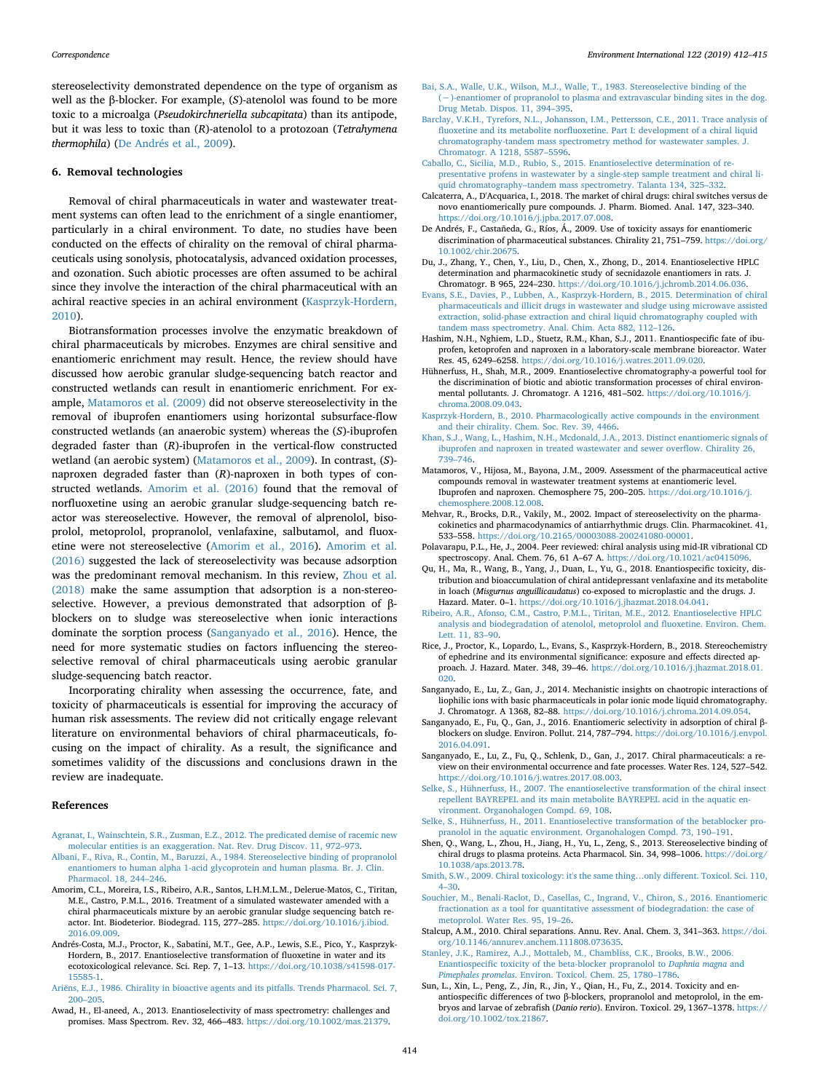stereoselectivity demonstrated dependence on the type of organism as well as the β-blocker. For example, (*S*)-atenolol was found to be more toxic to a microalga (*Pseudokirchneriella subcapitata*) than its antipode, but it was less to toxic than (*R*)-atenolol to a protozoan (*Tetrahymena thermophila*) ([De Andrés et al., 2009](#page-2-25)).

#### **6. Removal technologies**

Removal of chiral pharmaceuticals in water and wastewater treatment systems can often lead to the enrichment of a single enantiomer, particularly in a chiral environment. To date, no studies have been conducted on the effects of chirality on the removal of chiral pharmaceuticals using sonolysis, photocatalysis, advanced oxidation processes, and ozonation. Such abiotic processes are often assumed to be achiral since they involve the interaction of the chiral pharmaceutical with an achiral reactive species in an achiral environment [\(Kasprzyk-Hordern,](#page-2-31) [2010\)](#page-2-31).

Biotransformation processes involve the enzymatic breakdown of chiral pharmaceuticals by microbes. Enzymes are chiral sensitive and enantiomeric enrichment may result. Hence, the review should have discussed how aerobic granular sludge-sequencing batch reactor and constructed wetlands can result in enantiomeric enrichment. For example, [Matamoros et al. \(2009\)](#page-2-16) did not observe stereoselectivity in the removal of ibuprofen enantiomers using horizontal subsurface-flow constructed wetlands (an anaerobic system) whereas the (*S*)-ibuprofen degraded faster than (*R*)-ibuprofen in the vertical-flow constructed wetland (an aerobic system) [\(Matamoros et al., 2009\)](#page-2-16). In contrast, (*S*) naproxen degraded faster than (*R*)-naproxen in both types of constructed wetlands. [Amorim et al. \(2016\)](#page-2-32) found that the removal of norfluoxetine using an aerobic granular sludge-sequencing batch reactor was stereoselective. However, the removal of alprenolol, bisoprolol, metoprolol, propranolol, venlafaxine, salbutamol, and fluoxetine were not stereoselective [\(Amorim et al., 2016](#page-2-32)). [Amorim et al.](#page-2-32) [\(2016\)](#page-2-32) suggested the lack of stereoselectivity was because adsorption was the predominant removal mechanism. In this review, [Zhou et al.](#page-3-0) [\(2018\)](#page-3-0) make the same assumption that adsorption is a non-stereoselective. However, a previous demonstrated that adsorption of βblockers on to sludge was stereoselective when ionic interactions dominate the sorption process [\(Sanganyado et al., 2016](#page-2-33)). Hence, the need for more systematic studies on factors influencing the stereoselective removal of chiral pharmaceuticals using aerobic granular sludge-sequencing batch reactor.

Incorporating chirality when assessing the occurrence, fate, and toxicity of pharmaceuticals is essential for improving the accuracy of human risk assessments. The review did not critically engage relevant literature on environmental behaviors of chiral pharmaceuticals, focusing on the impact of chirality. As a result, the significance and sometimes validity of the discussions and conclusions drawn in the review are inadequate.

#### **References**

- <span id="page-2-7"></span>[Agranat, I., Wainschtein, S.R., Zusman, E.Z., 2012. The predicated demise of racemic new](http://refhub.elsevier.com/S0160-4120(18)32300-6/rf0005) [molecular entities is an exaggeration. Nat. Rev. Drug Discov. 11, 972–973](http://refhub.elsevier.com/S0160-4120(18)32300-6/rf0005).
- <span id="page-2-1"></span>[Albani, F., Riva, R., Contin, M., Baruzzi, A., 1984. Stereoselective binding of propranolol](http://refhub.elsevier.com/S0160-4120(18)32300-6/rf0010) [enantiomers to human alpha 1-acid glycoprotein and human plasma. Br. J. Clin.](http://refhub.elsevier.com/S0160-4120(18)32300-6/rf0010) [Pharmacol. 18, 244–246](http://refhub.elsevier.com/S0160-4120(18)32300-6/rf0010).
- <span id="page-2-32"></span>Amorim, C.L., Moreira, I.S., Ribeiro, A.R., Santos, L.H.M.L.M., Delerue-Matos, C., Tiritan, M.E., Castro, P.M.L., 2016. Treatment of a simulated wastewater amended with a chiral pharmaceuticals mixture by an aerobic granular sludge sequencing batch reactor. Int. Biodeterior. Biodegrad. 115, 277–285. [https://doi.org/10.1016/j.ibiod.](https://doi.org/10.1016/j.ibiod.2016.09.009) [2016.09.009](https://doi.org/10.1016/j.ibiod.2016.09.009).
- <span id="page-2-26"></span>Andrés-Costa, M.J., Proctor, K., Sabatini, M.T., Gee, A.P., Lewis, S.E., Pico, Y., Kasprzyk-Hordern, B., 2017. Enantioselective transformation of fluoxetine in water and its ecotoxicological relevance. Sci. Rep. 7, 1–13. [https://doi.org/10.1038/s41598-017-](https://doi.org/10.1038/s41598-017-15585-1) [15585-1](https://doi.org/10.1038/s41598-017-15585-1).
- <span id="page-2-2"></span>[Ariëns, E.J., 1986. Chirality in bioactive agents and its pitfalls. Trends Pharmacol. Sci. 7,](http://refhub.elsevier.com/S0160-4120(18)32300-6/rf0025) [200–205](http://refhub.elsevier.com/S0160-4120(18)32300-6/rf0025).
- <span id="page-2-9"></span>Awad, H., El-aneed, A., 2013. Enantioselectivity of mass spectrometry: challenges and promises. Mass Spectrom. Rev. 32, 466–483. [https://doi.org/10.1002/mas.21379.](https://doi.org/10.1002/mas.21379)
- <span id="page-2-3"></span>[Bai, S.A., Walle, U.K., Wilson, M.J., Walle, T., 1983. Stereoselective binding of the](http://refhub.elsevier.com/S0160-4120(18)32300-6/rf0035) [\(−\)-enantiomer of propranolol to plasma and extravascular binding sites in the dog.](http://refhub.elsevier.com/S0160-4120(18)32300-6/rf0035) [Drug Metab. Dispos. 11, 394–395](http://refhub.elsevier.com/S0160-4120(18)32300-6/rf0035).
- <span id="page-2-13"></span>[Barclay, V.K.H., Tyrefors, N.L., Johansson, I.M., Pettersson, C.E., 2011. Trace analysis of](http://refhub.elsevier.com/S0160-4120(18)32300-6/rf0040) [fluoxetine and its metabolite norfluoxetine. Part I: development of a chiral liquid](http://refhub.elsevier.com/S0160-4120(18)32300-6/rf0040) [chromatography-tandem mass spectrometry method for wastewater samples. J.](http://refhub.elsevier.com/S0160-4120(18)32300-6/rf0040) [Chromatogr. A 1218, 5587–5596.](http://refhub.elsevier.com/S0160-4120(18)32300-6/rf0040)
- <span id="page-2-17"></span>[Caballo, C., Sicilia, M.D., Rubio, S., 2015. Enantioselective determination of re](http://refhub.elsevier.com/S0160-4120(18)32300-6/rf0045)[presentative profens in wastewater by a single-step sample treatment and chiral li](http://refhub.elsevier.com/S0160-4120(18)32300-6/rf0045)[quid chromatography–tandem mass spectrometry. Talanta 134, 325–332.](http://refhub.elsevier.com/S0160-4120(18)32300-6/rf0045)
- <span id="page-2-6"></span>Calcaterra, A., D'Acquarica, I., 2018. The market of chiral drugs: chiral switches versus de novo enantiomerically pure compounds. J. Pharm. Biomed. Anal. 147, 323–340. [https://doi.org/10.1016/j.jpba.2017.07.008.](https://doi.org/10.1016/j.jpba.2017.07.008)
- <span id="page-2-25"></span>De Andrés, F., Castañeda, G., Ríos, Á., 2009. Use of toxicity assays for enantiomeric discrimination of pharmaceutical substances. Chirality 21, 751–759. [https://doi.org/](https://doi.org/10.1002/chir.20675) [10.1002/chir.20675.](https://doi.org/10.1002/chir.20675)
- <span id="page-2-22"></span>Du, J., Zhang, Y., Chen, Y., Liu, D., Chen, X., Zhong, D., 2014. Enantioselective HPLC determination and pharmacokinetic study of secnidazole enantiomers in rats. J. Chromatogr. B 965, 224–230. <https://doi.org/10.1016/j.jchromb.2014.06.036>.
- <span id="page-2-14"></span>[Evans, S.E., Davies, P., Lubben, A., Kasprzyk-Hordern, B., 2015. Determination of chiral](http://refhub.elsevier.com/S0160-4120(18)32300-6/rf0065) [pharmaceuticals and illicit drugs in wastewater and sludge using microwave assisted](http://refhub.elsevier.com/S0160-4120(18)32300-6/rf0065) [extraction, solid-phase extraction and chiral liquid chromatography coupled with](http://refhub.elsevier.com/S0160-4120(18)32300-6/rf0065) [tandem mass spectrometry. Anal. Chim. Acta 882, 112–126.](http://refhub.elsevier.com/S0160-4120(18)32300-6/rf0065)
- <span id="page-2-18"></span>Hashim, N.H., Nghiem, L.D., Stuetz, R.M., Khan, S.J., 2011. Enantiospecific fate of ibuprofen, ketoprofen and naproxen in a laboratory-scale membrane bioreactor. Water Res. 45, 6249–6258. [https://doi.org/10.1016/j.watres.2011.09.020.](https://doi.org/10.1016/j.watres.2011.09.020)
- <span id="page-2-23"></span>Hühnerfuss, H., Shah, M.R., 2009. Enantioselective chromatography-a powerful tool for the discrimination of biotic and abiotic transformation processes of chiral environmental pollutants. J. Chromatogr. A 1216, 481–502. [https://doi.org/10.1016/j.](https://doi.org/10.1016/j.chroma.2008.09.043) [chroma.2008.09.043](https://doi.org/10.1016/j.chroma.2008.09.043).
- <span id="page-2-31"></span>[Kasprzyk-Hordern, B., 2010. Pharmacologically active compounds in the environment](http://refhub.elsevier.com/S0160-4120(18)32300-6/rf0080) [and their chirality. Chem. Soc. Rev. 39, 4466.](http://refhub.elsevier.com/S0160-4120(18)32300-6/rf0080)
- <span id="page-2-15"></span>[Khan, S.J., Wang, L., Hashim, N.H., Mcdonald, J.A., 2013. Distinct enantiomeric signals of](http://refhub.elsevier.com/S0160-4120(18)32300-6/rf0085) [ibuprofen and naproxen in treated wastewater and sewer overflow. Chirality 26,](http://refhub.elsevier.com/S0160-4120(18)32300-6/rf0085) [739–746](http://refhub.elsevier.com/S0160-4120(18)32300-6/rf0085).
- <span id="page-2-16"></span>Matamoros, V., Hijosa, M., Bayona, J.M., 2009. Assessment of the pharmaceutical active compounds removal in wastewater treatment systems at enantiomeric level. Ibuprofen and naproxen. Chemosphere 75, 200–205. [https://doi.org/10.1016/j.](https://doi.org/10.1016/j.chemosphere.2008.12.008) [chemosphere.2008.12.008](https://doi.org/10.1016/j.chemosphere.2008.12.008).
- <span id="page-2-4"></span>Mehvar, R., Brocks, D.R., Vakily, M., 2002. Impact of stereoselectivity on the pharmacokinetics and pharmacodynamics of antiarrhythmic drugs. Clin. Pharmacokinet. 41, 533–558. <https://doi.org/10.2165/00003088-200241080-00001>.
- <span id="page-2-12"></span>Polavarapu, P.L., He, J., 2004. Peer reviewed: chiral analysis using mid-IR vibrational CD spectroscopy. Anal. Chem. 76, 61 A–67 A. <https://doi.org/10.1021/ac0415096>.
- <span id="page-2-27"></span>Qu, H., Ma, R., Wang, B., Yang, J., Duan, L., Yu, G., 2018. Enantiospecific toxicity, distribution and bioaccumulation of chiral antidepressant venlafaxine and its metabolite in loach (*Misgurnus anguillicaudatus*) co-exposed to microplastic and the drugs. J. Hazard. Mater. 0–1. <https://doi.org/10.1016/j.jhazmat.2018.04.041>.
- <span id="page-2-20"></span>[Ribeiro, A.R., Afonso, C.M., Castro, P.M.L., Tiritan, M.E., 2012. Enantioselective HPLC](http://refhub.elsevier.com/S0160-4120(18)32300-6/rf0110) [analysis and biodegradation of atenolol, metoprolol and fluoxetine. Environ. Chem.](http://refhub.elsevier.com/S0160-4120(18)32300-6/rf0110) [Lett. 11, 83–90.](http://refhub.elsevier.com/S0160-4120(18)32300-6/rf0110)
- <span id="page-2-30"></span>Rice, J., Proctor, K., Lopardo, L., Evans, S., Kasprzyk-Hordern, B., 2018. Stereochemistry of ephedrine and its environmental significance: exposure and effects directed approach. J. Hazard. Mater. 348, 39–46. [https://doi.org/10.1016/j.jhazmat.2018.01.](https://doi.org/10.1016/j.jhazmat.2018.01.020) [020](https://doi.org/10.1016/j.jhazmat.2018.01.020).
- <span id="page-2-11"></span>Sanganyado, E., Lu, Z., Gan, J., 2014. Mechanistic insights on chaotropic interactions of liophilic ions with basic pharmaceuticals in polar ionic mode liquid chromatography. J. Chromatogr. A 1368, 82–88. [https://doi.org/10.1016/j.chroma.2014.09.054.](https://doi.org/10.1016/j.chroma.2014.09.054)
- <span id="page-2-33"></span>Sanganyado, E., Fu, Q., Gan, J., 2016. Enantiomeric selectivity in adsorption of chiral βblockers on sludge. Environ. Pollut. 214, 787–794. [https://doi.org/10.1016/j.envpol.](https://doi.org/10.1016/j.envpol.2016.04.091) [2016.04.091](https://doi.org/10.1016/j.envpol.2016.04.091).
- <span id="page-2-8"></span>Sanganyado, E., Lu, Z., Fu, Q., Schlenk, D., Gan, J., 2017. Chiral pharmaceuticals: a review on their environmental occurrence and fate processes. Water Res. 124, 527–542. <https://doi.org/10.1016/j.watres.2017.08.003>.
- <span id="page-2-24"></span>[Selke, S., Hühnerfuss, H., 2007. The enantioselective transformation of the chiral insect](http://refhub.elsevier.com/S0160-4120(18)32300-6/rf0135) [repellent BAYREPEL and its main metabolite BAYREPEL acid in the aquatic en](http://refhub.elsevier.com/S0160-4120(18)32300-6/rf0135)[vironment. Organohalogen Compd. 69, 108.](http://refhub.elsevier.com/S0160-4120(18)32300-6/rf0135)
- <span id="page-2-21"></span>[Selke, S., Hühnerfuss, H., 2011. Enantioselective transformation of the betablocker pro](http://refhub.elsevier.com/S0160-4120(18)32300-6/rf0140)[pranolol in the aquatic environment. Organohalogen Compd. 73, 190–191.](http://refhub.elsevier.com/S0160-4120(18)32300-6/rf0140)
- <span id="page-2-5"></span>Shen, Q., Wang, L., Zhou, H., Jiang, H., Yu, L., Zeng, S., 2013. Stereoselective binding of chiral drugs to plasma proteins. Acta Pharmacol. Sin. 34, 998–1006. [https://doi.org/](https://doi.org/10.1038/aps.2013.78) [10.1038/aps.2013.78](https://doi.org/10.1038/aps.2013.78).
- <span id="page-2-0"></span>[Smith, S.W., 2009. Chiral toxicology: it's the same thing…only different. Toxicol. Sci. 110,](http://refhub.elsevier.com/S0160-4120(18)32300-6/rf0150) [4–30.](http://refhub.elsevier.com/S0160-4120(18)32300-6/rf0150)
- <span id="page-2-19"></span>[Souchier, M., Benali-Raclot, D., Casellas, C., Ingrand, V., Chiron, S., 2016. Enantiomeric](http://refhub.elsevier.com/S0160-4120(18)32300-6/rf0155) [fractionation as a tool for quantitative assessment of biodegradation: the case of](http://refhub.elsevier.com/S0160-4120(18)32300-6/rf0155) [metoprolol. Water Res. 95, 19–26.](http://refhub.elsevier.com/S0160-4120(18)32300-6/rf0155)
- <span id="page-2-10"></span>Stalcup, A.M., 2010. Chiral separations. Annu. Rev. Anal. Chem. 3, 341–363. [https://doi.](https://doi.org/10.1146/annurev.anchem.111808.073635) [org/10.1146/annurev.anchem.111808.073635.](https://doi.org/10.1146/annurev.anchem.111808.073635)
- <span id="page-2-29"></span>[Stanley, J.K., Ramirez, A.J., Mottaleb, M., Chambliss, C.K., Brooks, B.W., 2006.](http://refhub.elsevier.com/S0160-4120(18)32300-6/rf0165) [Enantiospecific toxicity of the beta-blocker propranolol to](http://refhub.elsevier.com/S0160-4120(18)32300-6/rf0165) *Daphnia magna* and *Pimephales promelas*[. Environ. Toxicol. Chem. 25, 1780–1786](http://refhub.elsevier.com/S0160-4120(18)32300-6/rf0165).
- <span id="page-2-28"></span>Sun, L., Xin, L., Peng, Z., Jin, R., Jin, Y., Qian, H., Fu, Z., 2014. Toxicity and enantiospecific differences of two β-blockers, propranolol and metoprolol, in the embryos and larvae of zebrafish (*Danio rerio*). Environ. Toxicol. 29, 1367–1378. [https://](https://doi.org/10.1002/tox.21867) [doi.org/10.1002/tox.21867.](https://doi.org/10.1002/tox.21867)